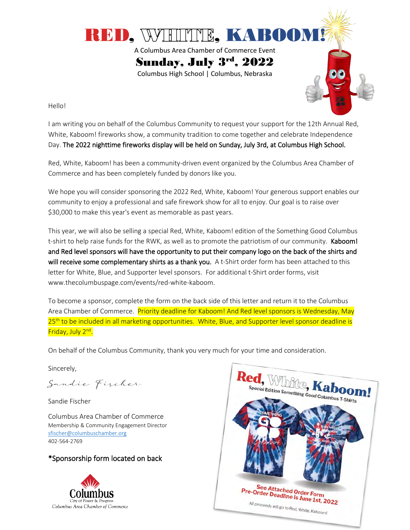

Hello!

I am writing you on behalf of the Columbus Community to request your support for the 12th Annual Red, White, Kaboom! fireworks show, a community tradition to come together and celebrate Independence Day. The 2022 nighttime fireworks display will be held on Sunday, July 3rd, at Columbus High School.

Red, White, Kaboom! has been a community-driven event organized by the Columbus Area Chamber of Commerce and has been completely funded by donors like you.

We hope you will consider sponsoring the 2022 Red, White, Kaboom! Your generous support enables our community to enjoy a professional and safe firework show for all to enjoy. Our goal is to raise over \$30,000 to make this year's event as memorable as past years.

This year, we will also be selling a special Red, White, Kaboom! edition of the Something Good Columbus t-shirt to help raise funds for the RWK, as well as to promote the patriotism of our community. Kaboom! and Red level sponsors will have the opportunity to put their company logo on the back of the shirts and will receive some complementary shirts as a thank you. A t-Shirt order form has been attached to this letter for White, Blue, and Supporter level sponsors. For additional t-Shirt order forms, visit www.thecolumbuspage.com/events/red-white-kaboom.

To become a sponsor, complete the form on the back side of this letter and return it to the Columbus Area Chamber of Commerce. Priority deadline for Kaboom! And Red level sponsors is Wednesday, May 25<sup>th</sup> to be included in all marketing opportunities. White, Blue, and Supporter level sponsor deadline is Friday, July 2<sup>nd</sup>.

On behalf of the Columbus Community, thank you very much for your time and consideration.

Sincerely,

Sandie Fischer

Sandie Fischer

Columbus Area Chamber of Commerce Membership & Community Engagement Director [sfischer@columbuschamber.org](mailto:sfischer@columbuschamber.org) 402-564-2769

### \*Sponsorship form located on back